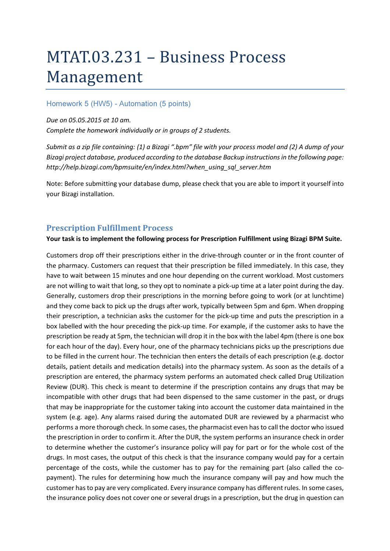# MTAT.03.231 - Business Process Management

### Homework 5 (HW5) - Automation (5 points)

#### Due on 05.05.2015 at 10 am.

Complete the homework individually or in groups of 2 students.

Submit as a zip file containing: (1) a Bizagi ".bpm" file with your process model and (2) A dump of your Bizagi project database, produced according to the database Backup instructions in the following page: http://help.bizagi.com/bpmsuite/en/index.html?when\_using\_sql\_server.htm

Note: Before submitting your database dump, please check that you are able to import it yourself into your Bizagi installation.

## Prescription Fulfillment Process

#### Your task is to implement the following process for Prescription Fulfillment using Bizagi BPM Suite.

Customers drop off their prescriptions either in the drive-through counter or in the front counter of the pharmacy. Customers can request that their prescription be filled immediately. In this case, they have to wait between 15 minutes and one hour depending on the current workload. Most customers are not willing to wait that long, so they opt to nominate a pick-up time at a later point during the day. Generally, customers drop their prescriptions in the morning before going to work (or at lunchtime) and they come back to pick up the drugs after work, typically between 5pm and 6pm. When dropping their prescription, a technician asks the customer for the pick-up time and puts the prescription in a box labelled with the hour preceding the pick-up time. For example, if the customer asks to have the prescription be ready at 5pm, the technician will drop it in the box with the label 4pm (there is one box for each hour of the day). Every hour, one of the pharmacy technicians picks up the prescriptions due to be filled in the current hour. The technician then enters the details of each prescription (e.g. doctor details, patient details and medication details) into the pharmacy system. As soon as the details of a prescription are entered, the pharmacy system performs an automated check called Drug Utilization Review (DUR). This check is meant to determine if the prescription contains any drugs that may be incompatible with other drugs that had been dispensed to the same customer in the past, or drugs that may be inappropriate for the customer taking into account the customer data maintained in the system (e.g. age). Any alarms raised during the automated DUR are reviewed by a pharmacist who performs a more thorough check. In some cases, the pharmacist even has to call the doctor who issued the prescription in order to confirm it. After the DUR, the system performs an insurance check in order to determine whether the customer's insurance policy will pay for part or for the whole cost of the drugs. In most cases, the output of this check is that the insurance company would pay for a certain percentage of the costs, while the customer has to pay for the remaining part (also called the copayment). The rules for determining how much the insurance company will pay and how much the customer has to pay are very complicated. Every insurance company has different rules. In some cases, the insurance policy does not cover one or several drugs in a prescription, but the drug in question can